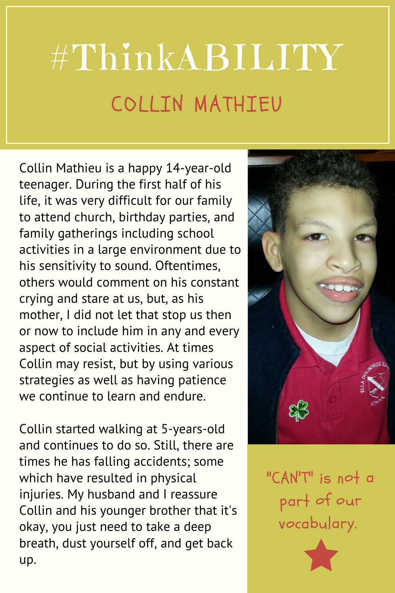## #ThinkABILITY COLLIN MATHIEU

Collin Mathieu is a happy 14-year-old teenager. During the first half of his life, it was very difficult for our family to attend church, birthday parties, and family gatherings including school activities in a large environment due to his sensitivity to sound. Oftentimes, others would comment on his constant crying and stare at us, but, as his mother, I did not let that stop us then or now to include him in any and every aspect of social activities. At times Collin may resist, but by using various strategies as well as having patience we continue to learn and endure.

Collin started walking at 5-years-old and continues to do so. Still, there are times he has falling accidents; some which have resulted in physical injuries. My husband and I reassure Collin and his younger brother that it's okay, you just need to take a deep breath, dust yourself off, and get back up.



"CAN'T" is not <sup>a</sup> part of our vocabulary.